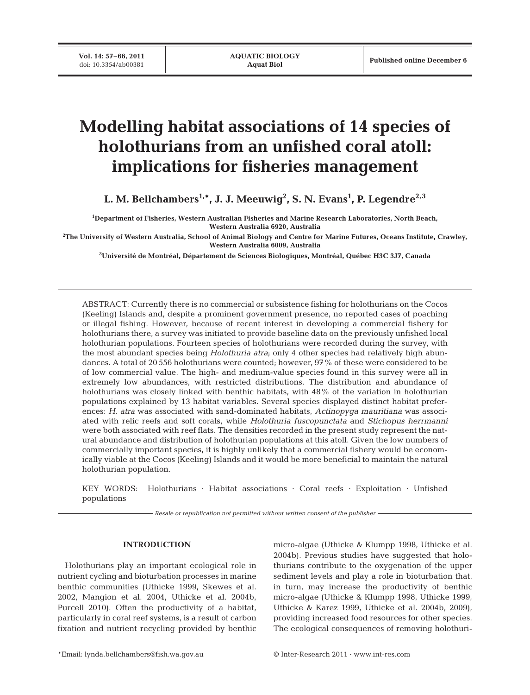# **Modelling habitat associations of 14 species of holothurians from an unfished coral atoll: implications for fisheries management**

L. M. Bellchambers<sup>1,</sup>\*, J. J. Meeuwig<sup>2</sup>, S. N. Evans<sup>1</sup>, P. Legendre<sup>2,3</sup>

**1 Department of Fisheries, Western Australian Fisheries and Marine Research Laboratories, North Beach, Western Australia 6920, Australia**

**2 The University of Western Australia, School of Animal Biology and Centre for Marine Futures, Oceans Institute, Crawley, Western Australia 6009, Australia**

**3 Université de Montréal, Département de Sciences Biologiques, Montréal, Québec H3C 3J7, Canada**

ABSTRACT: Currently there is no commercial or subsistence fishing for holothurians on the Cocos (Keeling) Islands and, despite a prominent government presence, no reported cases of poaching or illegal fishing. However, because of recent interest in developing a commercial fishery for holothurians there, a survey was initiated to provide baseline data on the previously unfished local holothurian populations. Fourteen species of holothurians were recorded during the survey, with the most abundant species being *Holothuria atra*; only 4 other species had relatively high abundances. A total of 20 556 holothurians were counted; however, 97% of these were considered to be of low commercial value. The high- and medium-value species found in this survey were all in extremely low abundances, with restricted distributions. The distribution and abundance of holothurians was closely linked with benthic habitats, with 48% of the variation in holothurian populations explained by 13 habitat variables. Several species displayed distinct habitat preferences: *H. atra* was associated with sand-dominated habitats, *Actinopyga mauritiana* was associated with relic reefs and soft corals, while *Holothuria fuscopunctata* and *Stichopus herrmanni* were both associated with reef flats. The densities recorded in the present study represent the natural abundance and distribution of holothurian populations at this atoll. Given the low numbers of commercially important species, it is highly unlikely that a commercial fishery would be economically viable at the Cocos (Keeling) Islands and it would be more beneficial to maintain the natural holothurian population.

KEY WORDS: Holothurians · Habitat associations · Coral reefs · Exploitation · Unfished populations

*Resale or republication not permitted without written consent of the publisher*

# **INTRODUCTION**

Holothurians play an important ecological role in nutrient cycling and bioturbation processes in marine benthic communities (Uthicke 1999, Skewes et al. 2002, Mangion et al. 2004, Uthicke et al. 2004b, Purcell 2010). Often the productivity of a habitat, particularly in coral reef systems, is a result of carbon fixation and nutrient recycling provided by benthic micro-algae (Uthicke & Klumpp 1998, Uthicke et al. 2004b). Previous studies have suggested that holothurians contribute to the oxygenation of the upper sediment levels and play a role in bioturbation that, in turn, may increase the productivity of benthic micro-algae (Uthicke & Klumpp 1998, Uthicke 1999, Uthicke & Karez 1999, Uthicke et al. 2004b, 2009), providing increased food resources for other species. The ecological consequences of removing holothuri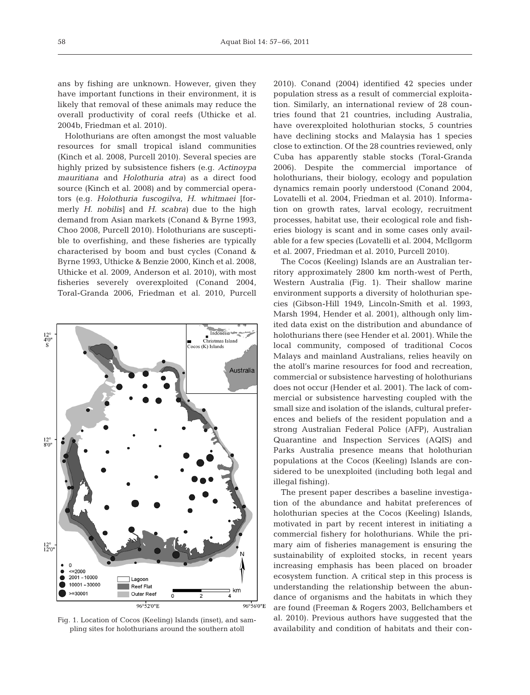ans by fishing are unknown. However, given they have important functions in their environment, it is likely that removal of these animals may reduce the overall productivity of coral reefs (Uthicke et al. 2004b, Friedman et al. 2010).

Holothurians are often amongst the most valuable resources for small tropical island communities (Kinch et al. 2008, Purcell 2010). Several species are highly prized by subsistence fishers (e.g. *Actinoypa mauritiana* and *Holothuria atra)* as a direct food source (Kinch et al. 2008) and by commercial operators (e.g. *Holothuria fuscogilva*, *H. whitmaei* [formerly *H. nobilis]* and *H. scabra)* due to the high demand from Asian markets (Conand & Byrne 1993, Choo 2008, Purcell 2010). Holothurians are susceptible to overfishing, and these fisheries are typically characterised by boom and bust cycles (Conand & Byrne 1993, Uthicke & Benzie 2000, Kinch et al. 2008, Uthicke et al. 2009, Anderson et al. 2010), with most fisheries severely overexploited (Conand 2004, Toral-Granda 2006, Friedman et al. 2010, Purcell



Fig. 1. Location of Cocos (Keeling) Islands (inset), and sampling sites for holothurians around the southern atoll

2010). Conand (2004) identified 42 species under population stress as a result of commercial exploitation. Similarly, an international review of 28 countries found that 21 countries, including Australia, have overexploited holothurian stocks, 5 countries have declining stocks and Malaysia has 1 species close to extinction. Of the 28 countries reviewed, only Cuba has apparently stable stocks (Toral-Granda 2006). Despite the commercial importance of holothurians, their biology, ecology and population dynamics remain poorly understood (Conand 2004, Lovatelli et al. 2004, Friedman et al. 2010). Information on growth rates, larval ecology, recruitment processes, habitat use, their ecological role and fisheries biology is scant and in some cases only available for a few species (Lovatelli et al. 2004, McIlgorm et al. 2007, Friedman et al. 2010, Purcell 2010).

The Cocos (Keeling) Islands are an Australian territory approximately 2800 km north-west of Perth, Western Australia (Fig. 1). Their shallow marine environment supports a diversity of holothurian species (Gibson-Hill 1949, Lincoln-Smith et al. 1993, Marsh 1994, Hender et al. 2001), although only limited data exist on the distribution and abundance of holothurians there (see Hender et al. 2001). While the local community, composed of traditional Cocos Malays and mainland Australians, relies heavily on the atoll's marine resources for food and recreation, commercial or subsistence harvesting of holothurians does not occur (Hender et al. 2001). The lack of commercial or subsistence harvesting coupled with the small size and isolation of the islands, cultural preferences and beliefs of the resident population and a strong Australian Federal Police (AFP), Australian Quarantine and Inspection Services (AQIS) and Parks Australia presence means that holothurian populations at the Cocos (Keeling) Islands are considered to be unexploited (including both legal and illegal fishing).

The present paper describes a baseline investigation of the abundance and habitat preferences of holothurian species at the Cocos (Keeling) Islands, motivated in part by recent interest in initiating a commercial fishery for holothurians. While the primary aim of fisheries management is ensuring the sustainability of exploited stocks, in recent years increasing emphasis has been placed on broader ecosystem function. A critical step in this process is understanding the relationship between the abundance of organisms and the habitats in which they are found (Freeman & Rogers 2003, Bellchambers et al. 2010). Previous authors have suggested that the availability and condition of habitats and their con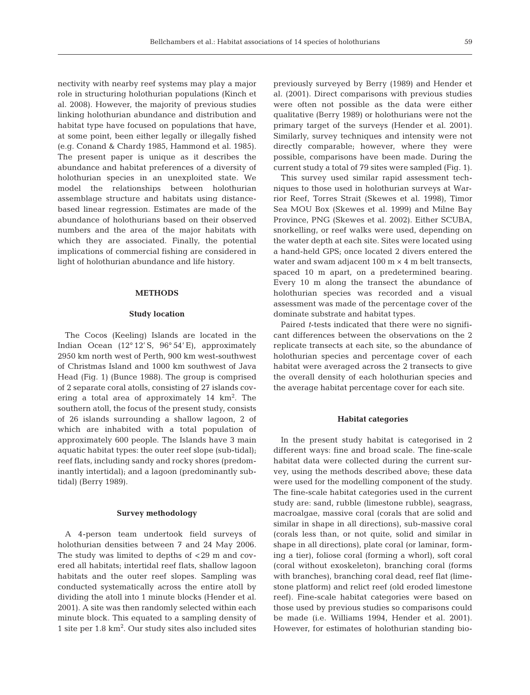nectivity with nearby reef systems may play a major role in structuring holothurian populations (Kinch et al. 2008). However, the majority of previous studies linking holothurian abundance and distribution and habitat type have focused on populations that have, at some point, been either legally or illegally fished (e.g. Conand & Chardy 1985, Hammond et al. 1985). The present paper is unique as it describes the abundance and habitat preferences of a diversity of holothurian species in an unexploited state. We model the relationships between holothurian assemblage structure and habitats using distancebased linear regression. Estimates are made of the abundance of holothurians based on their observed numbers and the area of the major habitats with which they are associated. Finally, the potential implications of commercial fishing are considered in light of holothurian abundance and life history.

# **METHODS**

## **Study location**

The Cocos (Keeling) Islands are located in the Indian Ocean (12° 12' S, 96° 54' E), approximately 2950 km north west of Perth, 900 km west-southwest of Christmas Island and 1000 km southwest of Java Head (Fig. 1) (Bunce 1988). The group is comprised of 2 separate coral atolls, consisting of 27 islands covering a total area of approximately  $14 \text{ km}^2$ . The southern atoll, the focus of the present study, consists of 26 islands surrounding a shallow lagoon, 2 of which are inhabited with a total population of approximately 600 people. The Islands have 3 main aquatic habitat types: the outer reef slope (sub-tidal); reef flats, including sandy and rocky shores (predominantly intertidal); and a lagoon (predominantly subtidal) (Berry 1989).

## **Survey methodology**

A 4-person team undertook field surveys of holothurian densities between 7 and 24 May 2006. The study was limited to depths of <29 m and covered all habitats; intertidal reef flats, shallow lagoon habitats and the outer reef slopes. Sampling was conducted systematically across the entire atoll by dividing the atoll into 1 minute blocks (Hender et al. 2001). A site was then randomly selected within each minute block. This equated to a sampling density of 1 site per 1.8 km<sup>2</sup> . Our study sites also included sites

previously surveyed by Berry (1989) and Hender et al. (2001). Direct comparisons with previous studies were often not possible as the data were either qualitative (Berry 1989) or holothurians were not the primary target of the surveys (Hender et al. 2001). Similarly, survey techniques and intensity were not directly comparable; however, where they were possible, comparisons have been made. During the current study a total of 79 sites were sampled (Fig. 1).

This survey used similar rapid assessment techniques to those used in holothurian surveys at Warrior Reef, Torres Strait (Skewes et al. 1998), Timor Sea MOU Box (Skewes et al. 1999) and Milne Bay Province, PNG (Skewes et al. 2002). Either SCUBA, snorkelling, or reef walks were used, depending on the water depth at each site. Sites were located using a hand-held GPS; once located 2 divers entered the water and swam adjacent  $100 \text{ m} \times 4 \text{ m}$  belt transects, spaced 10 m apart, on a predetermined bearing. Every 10 m along the transect the abundance of holothurian species was recorded and a visual assessment was made of the percentage cover of the dominate substrate and habitat types.

Paired *t*-tests indicated that there were no significant differences between the observations on the 2 replicate transects at each site, so the abundance of holothurian species and percentage cover of each habitat were averaged across the 2 transects to give the overall density of each holothurian species and the average habitat percentage cover for each site.

#### **Habitat categories**

In the present study habitat is categorised in 2 different ways: fine and broad scale. The fine-scale habitat data were collected during the current survey, using the methods described above; these data were used for the modelling component of the study. The fine-scale habitat categories used in the current study are: sand, rubble (limestone rubble), seagrass, macroalgae, massive coral (corals that are solid and similar in shape in all directions), sub-massive coral (corals less than, or not quite, solid and similar in shape in all directions), plate coral (or laminar, forming a tier), foliose coral (forming a whorl), soft coral (coral without exoskeleton), branching coral (forms with branches), branching coral dead, reef flat (limestone platform) and relict reef (old eroded limestone reef). Fine-scale habitat categories were based on those used by previous studies so comparisons could be made (i.e. Williams 1994, Hender et al. 2001). However, for estimates of holothurian standing bio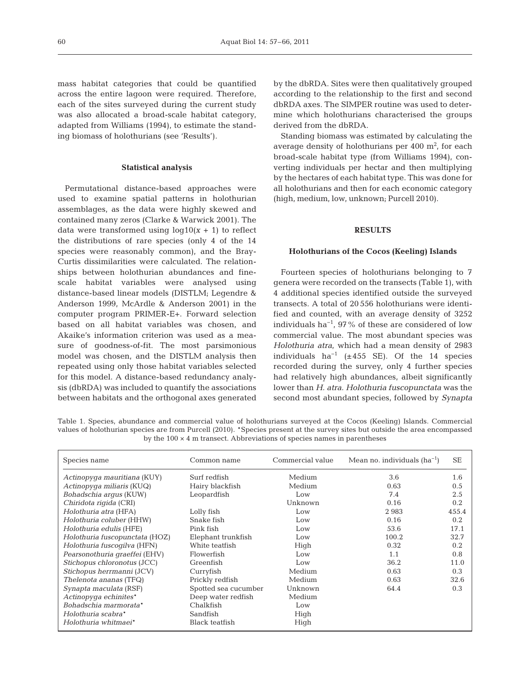mass habitat categories that could be quantified across the entire lagoon were required. Therefore, each of the sites surveyed during the current study was also allocated a broad-scale habitat category, adapted from Williams (1994), to estimate the standing biomass of holothurians (see 'Results').

## **Statistical analysis**

Permutational distance-based approaches were used to examine spatial patterns in holothurian assemblages, as the data were highly skewed and contained many zeros (Clarke & Warwick 2001). The data were transformed using  $log10(x + 1)$  to reflect the distributions of rare species (only 4 of the 14 species were reasonably common), and the Bray-Curtis dissimilarities were calculated. The relationships between holothurian abundances and finescale habitat variables were analysed using distance-based linear models (DISTLM; Legendre & Anderson 1999, McArdle & Anderson 2001) in the computer program PRIMER-E+. Forward selection based on all habitat variables was chosen, and Akaike's information criterion was used as a measure of goodness-of-fit. The most parsimonious model was chosen, and the DISTLM analysis then repeated using only those habitat variables selected for this model. A distance-based redundancy analysis (dbRDA) was included to quantify the associations between habitats and the orthogonal axes generated by the dbRDA. Sites were then qualitatively grouped according to the relationship to the first and second dbRDA axes. The SIMPER routine was used to determine which holothurians characterised the groups derived from the dbRDA.

Standing biomass was estimated by calculating the average density of holothurians per  $400 \text{ m}^2$ , for each broad-scale habitat type (from Williams 1994), converting individuals per hectar and then multiplying by the hectares of each habitat type. This was done for all holothurians and then for each economic category (high, medium, low, unknown; Purcell 2010).

# **RESULTS**

#### **Holothurians of the Cocos (Keeling) Islands**

Fourteen species of holothurians belonging to 7 genera were recorded on the transects (Table 1), with 4 additional species identified outside the surveyed transects. A total of 20 556 holothurians were identified and counted, with an average density of 3252 individuals ha<sup> $-1$ </sup>, 97% of these are considered of low commercial value. The most abundant species was *Holothuria atra*, which had a mean density of 2983 individuals ha<sup>-1</sup> ( $\pm$ 455 SE). Of the 14 species recorded during the survey, only 4 further species had relatively high abundances, albeit significantly lower than *H. atra*. *Holothuria fuscopunctata* was the second most abundant species, followed by *Synapta*

Table 1. Species, abundance and commercial value of holothurians surveyed at the Cocos (Keeling) Islands. Commercial values of holothurian species are from Purcell (2010). \*Species present at the survey sites but outside the area encompassed by the  $100 \times 4$  m transect. Abbreviations of species names in parentheses

| Species name                   | Common name          | Commercial value | Mean no. individuals $(ha^{-1})$ | SE    |
|--------------------------------|----------------------|------------------|----------------------------------|-------|
| Actinopyga mauritiana (KUY)    | Surf redfish         | Medium           | 3.6                              | 1.6   |
| Actinopyga miliaris (KUQ)      | Hairy blackfish      | Medium           | 0.63                             | 0.5   |
| Bohadschia arqus (KUW)         | Leopardfish          | Low              | 7.4                              | 2.5   |
| Chiridota rigida (CRI)         |                      | Unknown          | 0.16                             | 0.2   |
| Holothuria atra (HFA)          | Lolly fish           | Low              | 2983                             | 455.4 |
| Holothuria coluber (HHW)       | Snake fish           | Low              | 0.16                             | 0.2   |
| Holothuria edulis (HFE)        | Pink fish            | Low              | 53.6                             | 17.1  |
| Holothuria fuscopunctata (HOZ) | Elephant trunkfish   | Low              | 100.2                            | 32.7  |
| Holothuria fuscogilva (HFN)    | White teatfish       | High             | 0.32                             | 0.2   |
| Pearsonothuria graeffei (EHV)  | Flowerfish           | Low              | 1.1                              | 0.8   |
| Stichopus chloronotus (JCC)    | Greenfish            | Low              | 36.2                             | 11.0  |
| Stichopus herrmanni (JCV)      | Curryfish            | Medium           | 0.63                             | 0.3   |
| Thelenota ananas (TFQ)         | Prickly redfish      | Medium           | 0.63                             | 32.6  |
| Synapta maculata (RSF)         | Spotted sea cucumber | Unknown          | 64.4                             | 0.3   |
| Actinopyga echinites*          | Deep water redfish   | Medium           |                                  |       |
| Bohadschia marmorata*          | Chalkfish            | Low              |                                  |       |
| Holothuria scabra*             | Sandfish             | High             |                                  |       |
| Holothuria whitmaei*           | Black teatfish       | High             |                                  |       |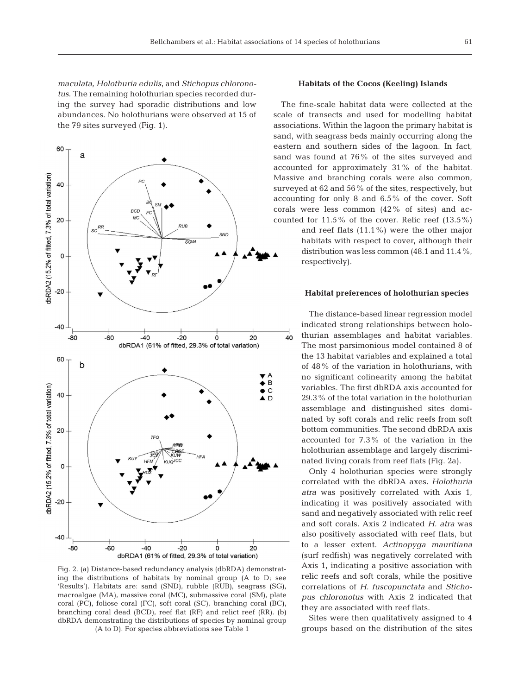*maculata*, *Holothuria edulis*, and *Stichopus chloronotus*. The remaining holothurian species recorded during the survey had sporadic distributions and low abundances. No holothurians were observed at 15 of the 79 sites surveyed (Fig. 1).



Fig. 2. (a) Distance-based redundancy analysis (dbRDA) demonstrating the distributions of habitats by nominal group (A to D; see 'Results'). Habitats are: sand (SND), rubble (RUB), seagrass (SG), macroalgae (MA), massive coral (MC), submassive coral (SM), plate coral (PC), foliose coral (FC), soft coral (SC), branching coral (BC), branching coral dead (BCD), reef flat (RF) and relict reef (RR). (b) dbRDA demonstrating the distributions of species by nominal group (A to D). For species abbreviations see Table 1

# **Habitats of the Cocos (Keeling) Islands**

The fine-scale habitat data were collected at the scale of transects and used for modelling habitat associations. Within the lagoon the primary habitat is sand, with seagrass beds mainly occurring along the eastern and southern sides of the lagoon. In fact, sand was found at 76% of the sites surveyed and accounted for approximately 31% of the habitat. Massive and branching corals were also common, surveyed at 62 and 56% of the sites, respectively, but accounting for only 8 and 6.5% of the cover. Soft corals were less common  $(42\%$  of sites) and accounted for  $11.5\%$  of the cover. Relic reef  $(13.5\%)$ and reef flats (11.1%) were the other major

habitats with respect to cover, although their distribution was less common (48.1 and 11.4%, respectively).

# **Habitat preferences of holothurian species**

The distance-based linear regression model indicated strong relationships between holothurian assemblages and habitat variables. The most parsimonious model contained 8 of the 13 habitat variables and explained a total of 48% of the variation in holothurians, with no significant colinearity among the habitat variables. The first dbRDA axis accounted for 29.3% of the total variation in the holothurian assemblage and distinguished sites dominated by soft corals and relic reefs from soft bottom communities. The second dbRDA axis accounted for 7.3% of the variation in the holothurian assemblage and largely discriminated living corals from reef flats (Fig. 2a).

Only 4 holothurian species were strongly correlated with the dbRDA axes. *Holothuria atra* was positively correlated with Axis 1, indicating it was positively associated with sand and negatively associated with relic reef and soft corals. Axis 2 indicated *H. atra* was also positively associated with reef flats, but to a lesser extent. Actinopyga mauritiana (surf redfish) was negatively correlated with Axis 1, indicating a positive association with relic reefs and soft corals, while the positive correlations of *H. fuscopunctata* and *Stichopus chloronotus* with Axis 2 indicated that they are associated with reef flats.

Sites were then qualitatively assigned to 4 groups based on the distribution of the sites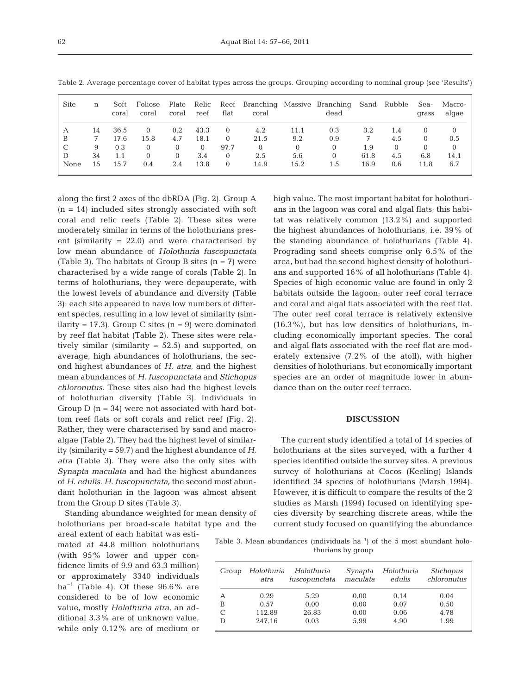| Site          | n  | Soft<br>coral | Foliose<br>coral | Plate<br>coral | Relic<br>reef | Reef<br>flat | coral        |          | Branching Massive Branching<br>dead |      | Sand Rubble | Sea-<br>grass | Macro-<br>algae |
|---------------|----|---------------|------------------|----------------|---------------|--------------|--------------|----------|-------------------------------------|------|-------------|---------------|-----------------|
| А             | 14 | 36.5          | $\Omega$         | 0.2            | 43.3          | $\Omega$     | 4.2          | 11.1     | 0.3                                 | 3.2  | 1.4         |               |                 |
| B             | 7  | 17.6          | 15.8             | 4.7            | 18.1          | $\Omega$     | 21.5         | 9.2      | 0.9                                 |      | 4.5         | 0             | 0.5             |
| $\mathcal{C}$ | 9  | 0.3           | 0                |                | $\Omega$      | 97.7         | $\mathbf{0}$ | $\Omega$ |                                     | 1.9  | $\Omega$    | 0             | $\Omega$        |
|               | 34 | 1.1           | 0                | $\Omega$       | 3.4           | $\Omega$     | 2.5          | 5.6      |                                     | 61.8 | 4.5         | 6.8           | 14.1            |
| None          | 15 | 15.7          | 0.4              | 2.4            | 13.8          | $\Omega$     | 14.9         | 15.2     | 1.5                                 | 16.9 | 0.6         | 11.8          | 6.7             |

Table 2. Average percentage cover of habitat types across the groups. Grouping according to nominal group (see 'Results')

along the first 2 axes of the dbRDA (Fig. 2). Group A  $(n = 14)$  included sites strongly associated with soft coral and relic reefs (Table 2). These sites were moderately similar in terms of the holothurians present (similarity = 22.0) and were characterised by low mean abundance of *Holothuria fuscopunctata* (Table 3). The habitats of Group B sites  $(n = 7)$  were characterised by a wide range of corals (Table 2). In terms of holothurians, they were depauperate, with the lowest levels of abundance and diversity (Table 3): each site appeared to have low numbers of different species, resulting in a low level of similarity (similarity = 17.3). Group C sites  $(n = 9)$  were dominated by reef flat habitat (Table 2). These sites were relatively similar (similarity  $= 52.5$ ) and supported, on average, high abundances of holothurians, the second highest abundances of *H. atra*, and the highest mean abundances of *H. fuscopunctata* and *Stichopus chloronutus*. These sites also had the highest levels of holothurian diversity (Table 3). Individuals in Group  $D$  ( $n = 34$ ) were not associated with hard bottom reef flats or soft corals and relict reef (Fig. 2). Rather, they were characterised by sand and macroalgae (Table 2). They had the highest level of similarity (similarity = 59.7) and the highest abundance of *H. atra* (Table 3). They were also the only sites with *Synapta maculata* and had the highest abundances of *H. edulis*. *H. fuscopunctata*, the second most abundant holothurian in the lagoon was almost absent from the Group D sites (Table 3).

Standing abundance weighted for mean density of holothurians per broad-scale habitat type and the

areal extent of each habitat was estimated at 44.8 million holothurians (with  $95\%$  lower and upper confidence limits of 9.9 and 63.3 million) or approximately 3340 individuals ha<sup>-1</sup> (Table 4). Of these  $96.6\%$  are considered to be of low economic value, mostly *Holothuria atra*, an additional 3.3% are of unknown value, while only 0.12% are of medium or high value. The most important habitat for holothurians in the lagoon was coral and algal flats; this habitat was relatively common (13.2%) and supported the highest abundances of holothurians, i.e. 39% of the standing abundance of holothurians (Table 4). Prograding sand sheets comprise only 6.5% of the area, but had the second highest density of holothurians and supported 16% of all holothurians (Table 4). Species of high economic value are found in only 2 habitats outside the lagoon; outer reef coral terrace and coral and algal flats associated with the reef flat. The outer reef coral terrace is relatively extensive  $(16.3\%)$ , but has low densities of holothurians, including economically important species. The coral and algal flats associated with the reef flat are moderately extensive (7.2% of the atoll), with higher densities of holothurians, but economically important species are an order of magnitude lower in abundance than on the outer reef terrace.

# **DISCUSSION**

The current study identified a total of 14 species of holothurians at the sites surveyed, with a further 4 species identified outside the survey sites. A previous survey of holothurians at Cocos (Keeling) Islands identified 34 species of holothurians (Marsh 1994). However, it is difficult to compare the results of the 2 studies as Marsh (1994) focused on identifying species diversity by searching discrete areas, while the current study focused on quantifying the abundance

Table 3. Mean abundances (individuals ha<sup>-1</sup>) of the 5 most abundant holothurians by group

| Group | Holothuria<br>atra | Holothuria<br>fuscopunctata | Synapta<br>maculata | Holothuria<br>edulis | Stichopus<br>chloronutus |
|-------|--------------------|-----------------------------|---------------------|----------------------|--------------------------|
| А     | 0.29               | 5.29                        | 0.00                | 0.14                 | 0.04                     |
| В     | 0.57               | 0.00                        | 0.00                | 0.07                 | 0.50                     |
|       | 112.89             | 26.83                       | 0.00                | 0.06                 | 4.78                     |
| D     | 247.16             | 0.03                        | 5.99                | 4.90                 | 1.99                     |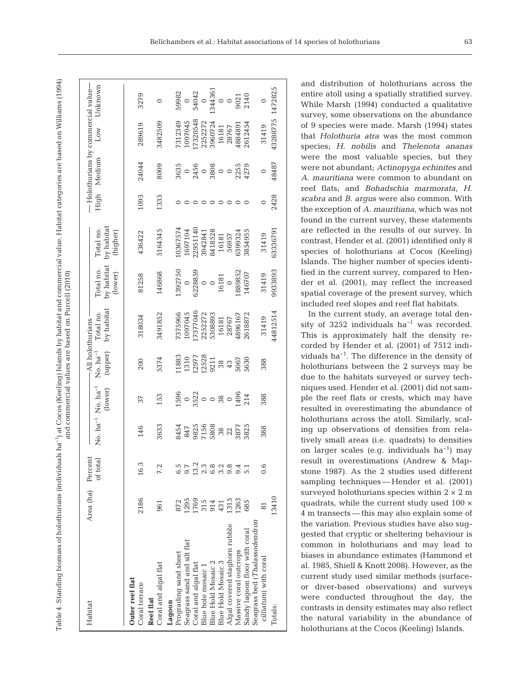Table 4. Standing biomass of holothurians (individuals ha−1) at Cocos (Keeling) Islands by habitat and commercial value. Habitat categories are based on Williams (1994) Table 4. Standing biomass of holothurians (individuals ha<sup>-1</sup>) at Cocos (Keeling) Islands by habitat and commercial value. Habitat categories are based on Williams (1994) and commercial values are based on Purcell (2010) and commercial values are based on Purcell (2010)

| Habitat                                                        | Area (ha) Percent | of total      |                                    | No. ha <sup>-1</sup> No. ha <sup>-1</sup><br>(lower) | $No.$ $ha^{-1}$<br>(upper)                                                | by habitat<br>Total no.<br>All holothurians - | by habitat<br>Total no.<br>(lower)        | by habitat<br>Total no.<br>(higher) |      | High Medium                                              | $-$ Holothurians by commercial value $-$<br>$_{\text{Low}}$ | Unknown                  |
|----------------------------------------------------------------|-------------------|---------------|------------------------------------|------------------------------------------------------|---------------------------------------------------------------------------|-----------------------------------------------|-------------------------------------------|-------------------------------------|------|----------------------------------------------------------|-------------------------------------------------------------|--------------------------|
| Outer reef flat<br>Coral terrace<br><b>Reef flat</b>           | 2186              | ∽<br>16.      | 146                                | 37                                                   | 200                                                                       | 318034                                        | 81258                                     | 436422                              | 1093 | 24044                                                    | 289619                                                      | 3279                     |
| Coral and algal flat                                           | 961               | 7.2           | 3633                               | 153                                                  | 5374                                                                      | 3491852                                       | 146868                                    | 5164345                             | 1335 | 8009                                                     | 3482509                                                     |                          |
| Seagrass sand and silt flat<br>Prograding sand sheet<br>Lagoon | 1295<br>872       |               |                                    |                                                      | .1883<br>1310                                                             | 375966<br>097045                              | 1392750<br>$\circ$                        | 0367574<br>1697104                  |      |                                                          | 7312349<br>1097045                                          | 59982                    |
| Coral and algal flat                                           | 1769              | $\sim$<br>13. | 8454<br>847<br>8825<br>5808<br>722 |                                                      |                                                                           | 7377046                                       | 6228859                                   | 22951140                            |      | $3635$<br>0<br>2456<br>2308<br>0<br>3255<br>2259<br>4279 | 7320548                                                     | 0<br>54042               |
| <b>Blue Hold Mosaic 2</b><br>Blue hole mosaic 1                | 315<br>914<br>431 | 2.3           |                                    |                                                      |                                                                           | 2252272<br>5308893                            | $\circ$ $\circ$                           | 8418528<br>3942841                  |      |                                                          | 2252272<br>3960724                                          | 134436<br>$\circ$        |
| <b>Blue Hold Mosaic 3</b>                                      |                   | 6.8<br>6.2    |                                    |                                                      |                                                                           | 16181                                         | $\begin{array}{c} 16181 \\ 0 \end{array}$ | 16181                               |      |                                                          | 16181                                                       |                          |
| Algal covered staghorn rubble<br>Massive coral outcrops        | 1315<br>1263      | 9.8           | 3877                               |                                                      | $\begin{array}{r} 12977 \\ 12528 \\ 9211 \\ 38 \\ 43 \\ 5067 \end{array}$ | 1896167<br>28767                              | 889852                                    | 6399324<br>56957                    |      |                                                          | 188489<br>28767                                             | $\frac{0}{9021}$<br>2140 |
| Seagrass bed (Thalassodendron<br>Sandy lagoon floor with coral | 685               |               | 3825                               |                                                      | 5630                                                                      | 2618872                                       | 146707                                    | 3854955                             |      |                                                          | 2612454                                                     |                          |
| cilliatum) with coral                                          |                   |               | 388                                | 388                                                  | 388                                                                       | 31419                                         | 31419                                     | 31419                               |      |                                                          | 31419                                                       |                          |
| Totals:                                                        | 13410             |               |                                    |                                                      |                                                                           | 44812514                                      | 9933893                                   | 63336791                            | 2428 | 48487                                                    | 43288775 1472825                                            |                          |

and distribution of holothurians across the entire atoll using a spatially stratified survey. While Marsh (1994) conducted a qualitative survey, some observations on the abundance of 9 species were made. Marsh (1994) states that *Holothuria atra* was the most common species; *H. nobilis* and *Thelenota ananas* were the most valuable species, but they were not abundant; *Actinopyga echinites* and *A. mauritiana* were common to abundant on reef flats; and *Bohadschia marmorata*, *H. scabra* and *B. argus* were also common. With the exception of *A. mauritiana*, which was not found in the current survey, these statements are reflected in the results of our survey. In contrast, Hender et al. (2001) identified only 8 species of holothurians at Cocos (Keeling) Islands. The higher number of species identified in the current survey, compared to Hender et al. (2001), may reflect the increased spatial coverage of the present survey, which included reef slopes and reef flat habitats.

In the current study, an average total density of 3252 individuals  $ha^{-1}$  was recorded. This is approximately half the density recorded by Hender et al. (2001) of 7512 individuals ha−1. The difference in the density of holothurians between the 2 surveys may be due to the habitats surveyed or survey techniques used. Hender et al. (2001) did not sample the reef flats or crests, which may have resulted in overestimating the abundance of holothurians across the atoll. Similarly, scaling up observations of densities from relatively small areas (i.e. quadrats) to densities on larger scales (e.g. individuals ha−1) may result in overestimations (Andrew & Mapstone 1987). As the 2 studies used different sampling techniques — Hender et al. (2001) surveyed holothurians species within  $2 \times 2$  m quadrats, while the current study used 100 × 4 m transects — this may also explain some of the variation. Previous studies have also suggested that cryptic or sheltering behaviour is common in holothurians and may lead to biases in abundance estimates (Hammond et al. 1985, Shiell & Knott 2008). However, as the current study used similar methods (surfaceor diver-based observations) and surveys were conducted throughout the day, the contrasts in density estimates may also reflect the natural variability in the abundance of holothurians at the Cocos (Keeling) Islands.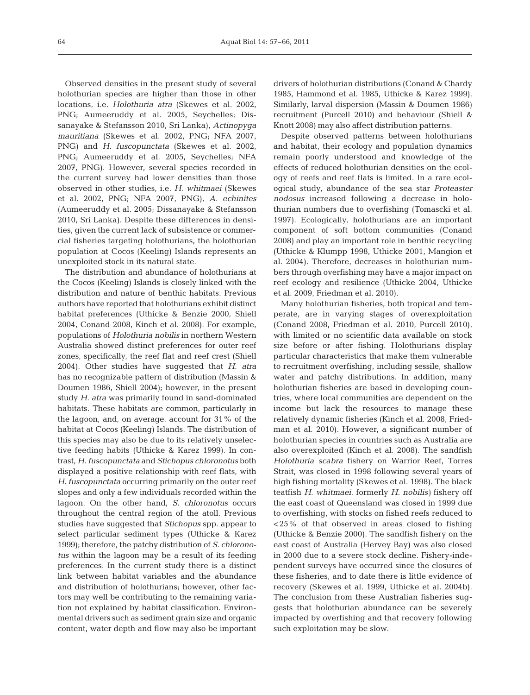Observed densities in the present study of several holothurian species are higher than those in other locations, i.e. *Holothuria atra* (Skewes et al. 2002, PNG; Aumeeruddy et al. 2005, Seychelles; Dissanayake & Stefansson 2010, Sri Lanka), *Actinopyga mauritiana* (Skewes et al. 2002, PNG; NFA 2007, PNG) and *H. fuscopunctata* (Skewes et al. 2002, PNG; Aumeeruddy et al. 2005, Seychelles; NFA 2007, PNG). However, several species recorded in the current survey had lower densities than those observed in other studies, i.e. *H. whitmaei* (Skewes et al. 2002, PNG; NFA 2007, PNG), *A. echinites* (Aumeeruddy et al. 2005; Dissanayake & Stefansson 2010, Sri Lanka). Despite these differences in densities, given the current lack of subsistence or commercial fisheries targeting holothurians, the holothurian population at Cocos (Keeling) Islands represents an unexploited stock in its natural state.

The distribution and abundance of holothurians at the Cocos (Keeling) Islands is closely linked with the distribution and nature of benthic habitats. Previous authors have reported that holothurians exhibit distinct habitat preferences (Uthicke & Benzie 2000, Shiell 2004, Conand 2008, Kinch et al. 2008). For example, populations of *Holothuria nobilis* in northern Western Australia showed distinct preferences for outer reef zones, specifically, the reef flat and reef crest (Shiell 2004). Other studies have suggested that *H. atra* has no recognizable pattern of distribution (Massin & Doumen 1986, Shiell 2004); however, in the present study *H. atra* was primarily found in sand-dominated habitats. These habitats are common, particularly in the lagoon, and, on average, account for 31% of the habitat at Cocos (Keeling) Islands. The distribution of this species may also be due to its relatively unselective feeding habits (Uthicke & Karez 1999). In contrast, *H. fuscopunctata* and *Stichopus chloronotus* both displayed a positive relationship with reef flats, with *H. fuscopunctata* occurring primarily on the outer reef slopes and only a few individuals recorded within the lagoon. On the other hand, *S. chloronotus* occurs throughout the central region of the atoll. Previous studies have suggested that *Stichopus* spp. appear to select particular sediment types (Uthicke & Karez 1999); therefore, the patchy distribution of *S. chloronotus* within the lagoon may be a result of its feeding preferences. In the current study there is a distinct link between habitat variables and the abundance and distribution of holothurians; however, other factors may well be contributing to the remaining variation not explained by habitat classification. Environmental drivers such as sediment grain size and organic content, water depth and flow may also be important drivers of holothurian distributions (Conand & Chardy 1985, Hammond et al. 1985, Uthicke & Karez 1999). Similarly, larval dispersion (Massin & Doumen 1986) recruitment (Purcell 2010) and behaviour (Shiell & Knott 2008) may also affect distribution patterns.

Despite observed patterns between holothurians and habitat, their ecology and population dynamics remain poorly understood and knowledge of the effects of reduced holothurian densities on the ecology of reefs and reef flats is limited. In a rare ecol ogical study, abundance of the sea star *Proteaster nodosus* increased following a decrease in holothurian numbers due to overfishing (Tomascki et al. 1997). Ecologically, holothurians are an important component of soft bottom communities (Conand 2008) and play an important role in benthic recycling (Uthicke & Klumpp 1998, Uthicke 2001, Mangion et al. 2004). Therefore, decreases in holothurian numbers through overfishing may have a major impact on reef ecology and resilience (Uthicke 2004, Uthicke et al. 2009, Friedman et al. 2010).

Many holothurian fisheries, both tropical and temperate, are in varying stages of overexploitation (Conand 2008, Friedman et al. 2010, Purcell 2010), with limited or no scientific data available on stock size before or after fishing. Holothurians display particular characteristics that make them vulnerable to recruitment overfishing, including sessile, shallow water and patchy distributions. In addition, many holothurian fisheries are based in developing countries, where local communities are dependent on the income but lack the resources to manage these relatively dynamic fisheries (Kinch et al. 2008, Friedman et al. 2010). However, a significant number of holothurian species in countries such as Australia are also overexploited (Kinch et al. 2008). The sandfish *Holothuria scabra* fishery on Warrior Reef, Torres Strait, was closed in 1998 following several years of high fishing mortality (Skewes et al. 1998). The black teatfish *H. whitmaei*, formerly *H. nobilis)* fishery off the east coast of Queensland was closed in 1999 due to overfishing, with stocks on fished reefs reduced to <25% of that observed in areas closed to fishing (Uthicke & Benzie 2000). The sandfish fishery on the east coast of Australia (Hervey Bay) was also closed in 2000 due to a severe stock decline. Fishery-independent surveys have occurred since the closures of these fisheries, and to date there is little evidence of recovery (Skewes et al. 1999, Uthicke et al. 2004b). The conclusion from these Australian fisheries suggests that holothurian abundance can be severely impacted by overfishing and that recovery following such exploitation may be slow.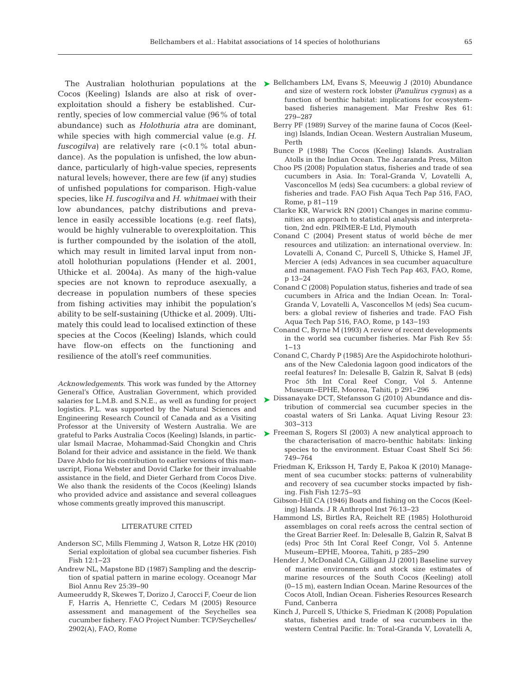Cocos (Keeling) Islands are also at risk of over exploitation should a fishery be established. Currently, species of low commercial value (96% of total abundance) such as *Holothuria atra* are dominant, while species with high commercial value (e.g. *H. fuscogilva*) are relatively rare  $(<0.1\%$  total abundance). As the population is unfished, the low abundance, particularly of high-value species, represents natural levels; however, there are few (if any) studies of unfished populations for comparison. High-value species, like *H. fuscogilva* and *H. whitmaei* with their low abundances, patchy distributions and prevalence in easily accessible locations (e.g. reef flats), would be highly vulnerable to overexploitation. This is further compounded by the isolation of the atoll, which may result in limited larval input from nonatoll holothurian populations (Hender et al. 2001, Uthicke et al. 2004a). As many of the high-value species are not known to reproduce asexually, a decrease in population numbers of these species from fishing activities may inhibit the population's ability to be self-sustaining (Uthicke et al. 2009). Ultimately this could lead to localised extinction of these species at the Cocos (Keeling) Islands, which could have flow-on effects on the functioning and resilience of the atoll's reef communities.

*Acknowledgements.* This work was funded by the Attorney General's Office, Australian Government, which provided salaries for L.M.B. and S.N.E., as well as funding for project logistics. P.L. was supported by the Natural Sciences and Engineering Research Council of Canada and as a Visiting Professor at the University of Western Australia. We are grateful to Parks Australia Cocos (Keeling) Islands, in particular Ismail Macrae, Mohammad-Said Chongkin and Chris Boland for their advice and assistance in the field. We thank Dave Abdo for his contribution to earlier versions of this manuscript, Fiona Webster and Dovid Clarke for their invaluable assistance in the field, and Dieter Gerhard from Cocos Dive. We also thank the residents of the Cocos (Keeling) Islands who provided advice and assistance and several colleagues whose comments greatly improved this manuscript.

#### LITERATURE CITED

- Anderson SC, Mills Flemming J, Watson R, Lotze HK (2010) Serial exploitation of global sea cucumber fisheries. Fish Fish 12: 1−23
- Andrew NL, Mapstone BD (1987) Sampling and the description of spatial pattern in marine ecology. Oceanogr Mar Biol Annu Rev 25:39−90
- Aumeeruddy R, Skewes T, Dorizo J, Carocci F, Coeur de lion F, Harris A, Henriette C, Cedars M (2005) Resource assessment and management of the Seychelles sea cucumber fishery. FAO Project Number: TCP/Seychelles/ 2902(A), FAO, Rome
- The Australian holothurian populations at the ► Bellchambers LM, Evans S, Meeuwig J (2010) Abundance and size of western rock lobster *(Panulirus cygnus)* as a function of benthic habitat: implications for ecosystembased fisheries management. Mar Freshw Res 61: 279−287
	- Berry PF (1989) Survey of the marine fauna of Cocos (Keeling) Islands, Indian Ocean. Western Australian Museum, Perth
	- Bunce P (1988) The Cocos (Keeling) Islands. Australian Atolls in the Indian Ocean. The Jacaranda Press, Milton
	- Choo PS (2008) Population status, fisheries and trade of sea cucumbers in Asia. In: Toral-Granda V, Lovatelli A, Vasconcellos M (eds) Sea cucumbers: a global review of fisheries and trade. FAO Fish Aqua Tech Pap 516, FAO, Rome, p 81−119
	- Clarke KR, Warwick RN (2001) Changes in marine communities: an approach to statistical analysis and interpretation, 2nd edn. PRIMER-E Ltd, Plymouth
	- Conand C (2004) Present status of world bêche de mer resources and utilization: an international overview. In: Lovatelli A, Conand C, Purcell S, Uthicke S, Hamel JF, Mercier A (eds) Advances in sea cucumber aquaculture and management. FAO Fish Tech Pap 463, FAO, Rome, p 13−24
	- Conand C (2008) Population status, fisheries and trade of sea cucumbers in Africa and the Indian Ocean. In: Toral-Granda V, Lovatelli A, Vasconcellos M (eds) Sea cucumbers: a global review of fisheries and trade. FAO Fish Aqua Tech Pap 516, FAO, Rome, p 143−193
	- Conand C, Byrne M (1993) A review of recent developments in the world sea cucumber fisheries. Mar Fish Rev 55: 1−13
	- Conand C, Chardy P (1985) Are the Aspidochirote holothurians of the New Caledonia lagoon good indicators of the reefal features? In:Delesalle B, Galzin R, Salvat B (eds) Proc 5th Int Coral Reef Congr, Vol 5. Antenne Museum−EPHE, Moorea, Tahiti, p 291−296
	- ► Dissanayake DCT, Stefansson G (2010) Abundance and distribution of commercial sea cucumber species in the coastal waters of Sri Lanka. Aquat Living Resour 23: 303−313
	- ► Freeman S, Rogers SI (2003) A new analytical approach to the characterisation of macro-benthic habitats: linking species to the environment. Estuar Coast Shelf Sci 56: 749−764
		- Friedman K, Eriksson H, Tardy E, Pakoa K (2010) Management of sea cucumber stocks: patterns of vulnerability and recovery of sea cucumber stocks impacted by fishing. Fish Fish 12:75-93
		- Gibson-Hill CA (1946) Boats and fishing on the Cocos (Keeling) Islands. J R Anthropol Inst 76: 13−23
		- Hammond LS, Birtles RA, Reichelt RE (1985) Holothuroid assemblages on coral reefs across the central section of the Great Barrier Reef. In: Delesalle B, Galzin R, Salvat B (eds) Proc 5th Int Coral Reef Congr, Vol 5. Antenne Museum−EPHE, Moorea, Tahiti, p 285−290
		- Hender J, McDonald CA, Gilligan JJ (2001) Baseline survey of marine environments and stock size estimates of marine resources of the South Cocos (Keeling) atoll (0−15 m), eastern Indian Ocean. Marine Resources of the Cocos Atoll, Indian Ocean. Fisheries Resources Research Fund, Canberra
		- Kinch J, Purcell S, Uthicke S, Friedman K (2008) Population status, fisheries and trade of sea cucumbers in the western Central Pacific. In: Toral-Granda V, Lovatelli A,